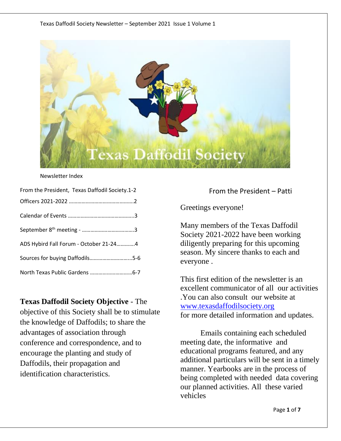

#### Newsletter Index

| From the President, Texas Daffodil Society.1-2 |
|------------------------------------------------|
|                                                |
|                                                |
|                                                |
| ADS Hybird Fall Forum - October 21-244         |
| Sources for buying Daffodils5-6                |
|                                                |

#### **Texas Daffodil Society Objective** - The

objective of this Society shall be to stimulate the knowledge of Daffodils; to share the advantages of association through conference and correspondence, and to encourage the planting and study of Daffodils, their propagation and identification characteristics.

From the President – Patti

Greetings everyone!

Many members of the Texas Daffodil Society 2021-2022 have been working diligently preparing for this upcoming season. My sincere thanks to each and everyone .

This first edition of the newsletter is an excellent communicator of all our activities .You can also consult our website at [www.texasdaffodilsociety.org](http://www.texasdaffodilsociety.org/) for more detailed information and updates.

Emails containing each scheduled meeting date, the informative and educational programs featured, and any additional particulars will be sent in a timely manner. Yearbooks are in the process of being completed with needed data covering our planned activities. All these varied vehicles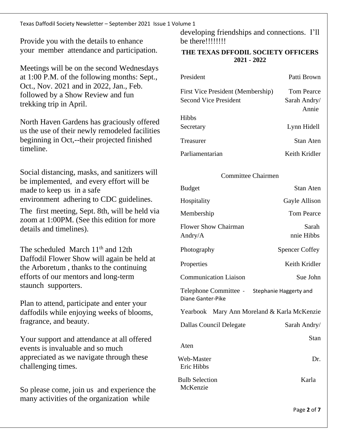Texas Daffodil Society Newsletter – September 2021 Issue 1 Volume 1

Provide you with the details to enhance your member attendance and participation.

Meetings will be on the second Wednesdays at 1:00 P.M. of the following months: Sept., Oct., Nov. 2021 and in 2022, Jan., Feb. followed by a Show Review and fun trekking trip in April.

North Haven Gardens has graciously offered us the use of their newly remodeled facilities beginning in Oct,--their projected finished timeline.

Social distancing, masks, and sanitizers will be implemented, and every effort will be made to keep us in a safe environment adhering to CDC guidelines.

The first meeting, Sept. 8th, will be held via zoom at 1:00PM. (See this edition for more details and timelines).

The scheduled March  $11<sup>th</sup>$  and  $12th$ Daffodil Flower Show will again be held at the Arboretum , thanks to the continuing efforts of our mentors and long-term staunch supporters.

Plan to attend, participate and enter your daffodils while enjoying weeks of blooms, fragrance, and beauty.

Your support and attendance at all offered events is invaluable and so much appreciated as we navigate through these challenging times.

So please come, join us and experience the many activities of the organization while

developing friendships and connections. I'll be there!!!!!!!!

#### **THE TEXAS DFFODIL SOCIETY OFFICERS 2021 - 2022**

| President                                                         | Patti Brown                         |
|-------------------------------------------------------------------|-------------------------------------|
| First Vice President (Membership)<br><b>Second Vice President</b> | Tom Pearce<br>Sarah Andry/<br>Annie |
| Hibbs                                                             |                                     |
| Secretary                                                         | Lynn Hidell                         |
| Treasurer                                                         | Stan Aten                           |
| Parliamentarian                                                   | Keith Kridler                       |

#### Committee Chairmen

| <b>Budget</b>                               | <b>Stan Aten</b>       |
|---------------------------------------------|------------------------|
| Hospitality                                 | Gayle Allison          |
| Membership                                  | <b>Tom Pearce</b>      |
| <b>Flower Show Chairman</b><br>Andry/A      | Sarah<br>nnie Hibbs    |
| Photography                                 | <b>Spencer Coffey</b>  |
| Properties                                  | Keith Kridler          |
| <b>Communication Liaison</b>                | Sue John               |
| Telephone Committee -<br>Diane Ganter-Pike  | Stephanie Haggerty and |
| Yearbook Mary Ann Moreland & Karla McKenzie |                        |
| <b>Dallas Council Delegate</b>              | Sarah Andry/           |
| Aten                                        | Stan                   |
| Web-Master<br>Eric Hibbs                    | Dr.                    |
| <b>Bulb Selection</b><br>McKenzie           | Karla                  |
|                                             |                        |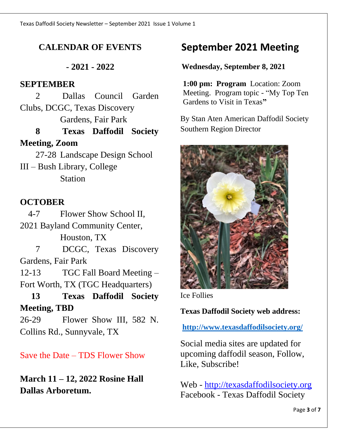# **CALENDAR OF EVENTS**

**- 2021 - 2022**

### **SEPTEMBER**

2 Dallas Council Garden Clubs, DCGC, Texas Discovery Gardens, Fair Park

**8 Texas Daffodil Society Meeting, Zoom**

 27-28 Landscape Design School III – Bush Library, College **Station** 

## **OCTOBER**

4-7 Flower Show School II, 2021 Bayland Community Center, Houston, TX

7 DCGC, Texas Discovery Gardens, Fair Park

12-13 TGC Fall Board Meeting – Fort Worth, TX (TGC Headquarters)

**13 Texas Daffodil Society Meeting, TBD**

26-29 Flower Show III, 582 N. Collins Rd., Sunnyvale, TX

Save the Date – TDS Flower Show

**March 11 – 12, 2022 Rosine Hall Dallas Arboretum.**

# **September 2021 Meeting**

### **Wednesday, September 8, 2021**

**1:00 pm: Program** Location: Zoom Meeting. Program topic - "My Top Ten Gardens to Visit in Texas**"** 

By Stan Aten American Daffodil Society Southern Region Director



Ice Follies

#### **Texas Daffodil Society web address:**

**<http://www.texasdaffodilsociety.org/>**

Social media sites are updated for upcoming daffodil season, Follow, Like, Subscribe!

Web - [http://texasdaffodilsociety.org](http://texasdaffodilsociety.org/) Facebook - Texas Daffodil Society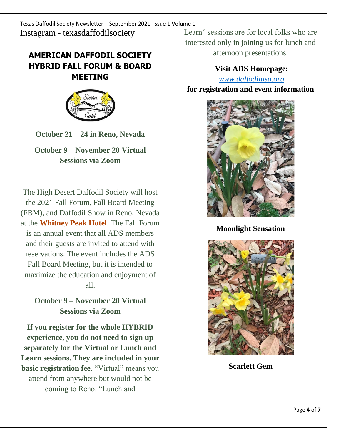# **AMERICAN DAFFODIL SOCIETY HYBRID FALL FORUM & BOARD MEETING**



**October 21 – 24 in Reno, Nevada**

**October 9 – November 20 Virtual Sessions via Zoom**

The High Desert Daffodil Society will host the 2021 Fall Forum, Fall Board Meeting (FBM), and Daffodil Show in Reno, Nevada at the **[Whitney](https://res.windsurfercrs.com/ibe/details.aspx?hotelID=13492&langID=1&group=DAFFODIL-2021&hgID=0&currID=0&dt1=7964&nights=4&rooms=1&adults=1&child1=0) Peak Hotel**. The Fall Forum is an annual event that all ADS members and their guests are invited to attend with reservations. The event includes the ADS Fall Board Meeting, but it is intended to maximize the education and enjoyment of all.

**October 9 – November 20 Virtual Sessions via Zoom**

**If you register for the whole HYBRID experience, you do not need to sign up separately for the Virtual or Lunch and Learn sessions. They are included in your basic registration fee.** "Virtual" means you attend from anywhere but would not be coming to Reno. "Lunch and

Learn" sessions are for local folks who are interested only in joining us for lunch and afternoon presentations.

> **Visit ADS Homepage:**  *[www.daffodilusa.org](http://www.daffodilusa.org/)*

**for registration and event information**



**Moonlight Sensation** 



**Scarlett Gem**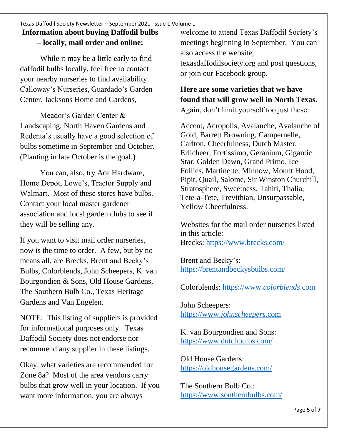#### Texas Daffodil Society Newsletter – September 2021 Issue 1 Volume 1 **Information about buying Daffodil bulbs – locally, mail order and online:**

While it may be a little early to find daffodil bulbs locally, feel free to contact your nearby nurseries to find availability. Calloway's Nurseries, Guardado's Garden Center, Jacksons Home and Gardens,

Meador's Garden Center & Landscaping, North Haven Gardens and Redenta's usually have a good selection of bulbs sometime in September and October. (Planting in late October is the goal.)

You can, also, try Ace Hardware, Home Depot, Lowe's, Tractor Supply and Walmart. Most of these stores have bulbs. Contact your local master gardener association and local garden clubs to see if they will be selling any.

If you want to visit mail order nurseries, now is the time to order. A few, but by no means all, are Brecks, Brent and Becky's Bulbs, Colorblends, John Scheepers, K. van Bourgondien & Sons, Old House Gardens, The Southern Bulb Co., Texas Heritage Gardens and Van Engelen.

NOTE: This listing of suppliers is provided for informational purposes only. Texas Daffodil Society does not endorse nor recommend any supplier in these listings.

Okay, what varieties are recommended for Zone 8a? Most of the area vendors carry bulbs that grow well in your location. If you want more information, you are always

welcome to attend Texas Daffodil Society's meetings beginning in September. You can also access the website, texasdaffodilsociety.org and post questions, or join our Facebook group.

### **Here are some varieties that we have found that will grow well in North Texas.** Again, don't limit yourself too just these.

Accent, Acropolis, Avalanche, Avalanche of Gold, Barrett Browning, Campernelle, Carlton, Cheerfulness, Dutch Master, Erlicheer, Fortissimo, Geranium, Gigantic Star, Golden Dawn, Grand Primo, Ice Follies, Martinette, Minnow, Mount Hood, Pipit, Quail, Salome, Sir Winston Churchill, Stratosphere, Sweetness, Tahiti, Thalia, Tete-a-Tete, Trevithian, Unsurpassable, Yellow Cheerfulness.

Websites for the mail order nurseries listed in this article: Brecks:<https://www.brecks.com/>

Brent and Becky's: <https://brentandbeckysbulbs.com/>

Colorblends: [https://www.](https://www.colorblends.com/)*colorblends*.com

John Scheepers: https://www.*[johnscheepers](https://www.johnscheepers.com/)*.com

K. van Bourgondien and Sons: [https://www.dutchbulbs.com/](https://www.johnscheepers.com/)

Old House Gardens: <https://oldhousegardens.com/>

The Southern Bulb Co.: <https://www.southernbulbs.com/>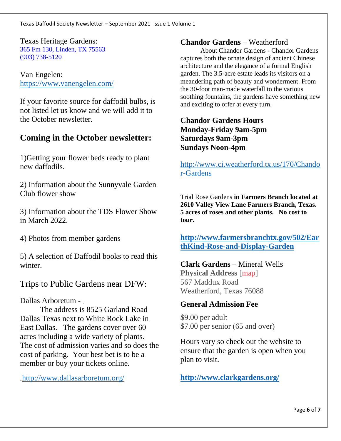Texas Heritage Gardens: [365 Fm 130, Linden, TX 75563](https://www.bing.com/local?lid=YN873x7340847558925276216&id=YN873x7340847558925276216&q=Texas+Heritage+Gardens+Egner+Farms&name=Texas+Heritage+Gardens+Egner+Farms&cp=33.006980895996094%7e-94.44437408447266&ppois=33.006980895996094_-94.44437408447266_Texas+Heritage+Gardens+Egner+Farms) [\(903\) 738-5120](tel:9037385120)

Van Engelen: <https://www.vanengelen.com/>

If your favorite source for daffodil bulbs, is not listed let us know and we will add it to the October newsletter.

## **Coming in the October newsletter:**

1)Getting your flower beds ready to plant new daffodils.

2) Information about the Sunnyvale Garden Club flower show

3) Information about the TDS Flower Show in March 2022.

4) Photos from member gardens

5) A selection of Daffodil books to read this winter.

Trips to Public Gardens near DFW:

Dallas Arboretum -

The address is 8525 Garland Road Dallas Texas next to White Rock Lake in East Dallas. The gardens cover over 60 acres including a wide variety of plants. The cost of admission varies and so does the cost of parking. Your best bet is to be a member or buy your tickets online.

<http://www.dallasarboretum.org/>

#### **Chandor Gardens** – Weatherford

About Chandor Gardens **-** Chandor Gardens captures both the ornate design of ancient Chinese architecture and the elegance of a formal English garden. The 3.5-acre estate leads its visitors on a meandering path of beauty and wonderment. From the 30-foot man-made waterfall to the various soothing fountains, the gardens have something new and exciting to offer at every turn.

**Chandor Gardens Hours Monday-Friday 9am-5pm Saturdays 9am-3pm Sundays Noon-4pm**

[http://www.ci.weatherford.tx.us/170/Chando](http://www.ci.weatherford.tx.us/170/Chandor-Gardens) [r-Gardens](http://www.ci.weatherford.tx.us/170/Chandor-Gardens)

Trial Rose Gardens **in Farmers Branch located at 2610 Valley View Lane Farmers Branch, Texas. 5 acres of roses and other plants. No cost to tour.**

**[http://www.farmersbranchtx.gov/502/Ear](http://www.farmersbranchtx.gov/502/EarthKind-Rose-and-Display-Garden) [thKind-Rose-and-Display-Garden](http://www.farmersbranchtx.gov/502/EarthKind-Rose-and-Display-Garden)**

# **Clark Gardens** – Mineral Wells

**Physical Address** [\[map\]](http://www.clarkgardens.org/visit/directions.html) 567 Maddux Road Weatherford, Texas 76088

#### **General Admission Fee**

\$9.00 per adult \$7.00 per senior (65 and over)

Hours vary so check out the website to ensure that the garden is open when you plan to visit.

**<http://www.clarkgardens.org/>**